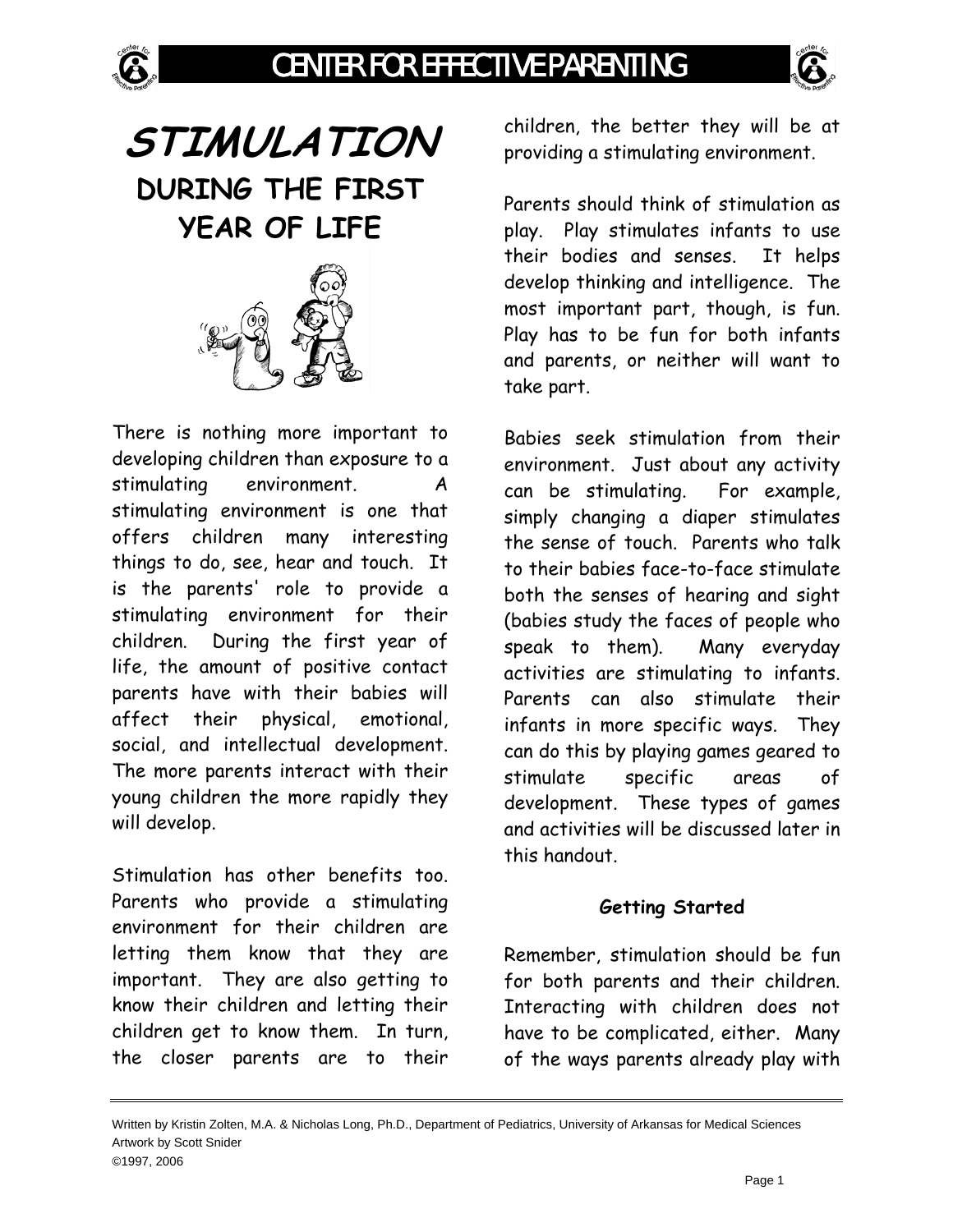

# **STIMULATION DURING THE FIRST YEAR OF LIFE**



There is nothing more important to developing children than exposure to a stimulating environment. A stimulating environment is one that offers children many interesting things to do, see, hear and touch. It is the parents' role to provide a stimulating environment for their children. During the first year of life, the amount of positive contact parents have with their babies will affect their physical, emotional, social, and intellectual development. The more parents interact with their young children the more rapidly they will develop.

Stimulation has other benefits too. Parents who provide a stimulating environment for their children are letting them know that they are important. They are also getting to know their children and letting their children get to know them. In turn, the closer parents are to their children, the better they will be at providing a stimulating environment.

Parents should think of stimulation as play. Play stimulates infants to use their bodies and senses. It helps develop thinking and intelligence. The most important part, though, is fun. Play has to be fun for both infants and parents, or neither will want to take part.

Babies seek stimulation from their environment. Just about any activity can be stimulating. For example, simply changing a diaper stimulates the sense of touch. Parents who talk to their babies face-to-face stimulate both the senses of hearing and sight (babies study the faces of people who speak to them). Many everyday activities are stimulating to infants. Parents can also stimulate their infants in more specific ways. They can do this by playing games geared to stimulate specific areas of development. These types of games and activities will be discussed later in this handout.

# **Getting Started**

Remember, stimulation should be fun for both parents and their children. Interacting with children does not have to be complicated, either. Many of the ways parents already play with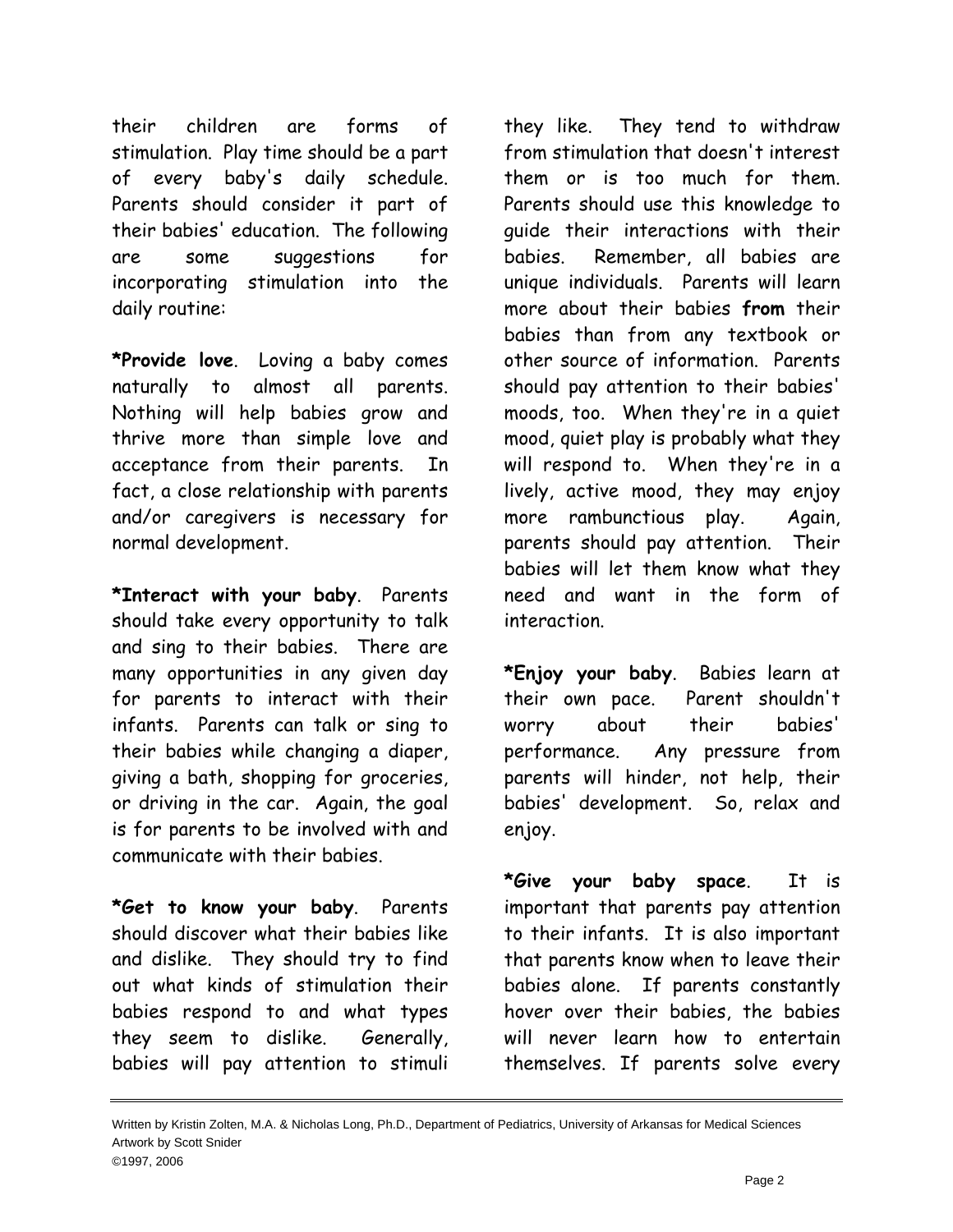their children are forms of stimulation. Play time should be a part of every baby's daily schedule. Parents should consider it part of their babies' education. The following are some suggestions for incorporating stimulation into the daily routine:

**\*Provide love**. Loving a baby comes naturally to almost all parents. Nothing will help babies grow and thrive more than simple love and acceptance from their parents. In fact, a close relationship with parents and/or caregivers is necessary for normal development.

**\*Interact with your baby**. Parents should take every opportunity to talk and sing to their babies. There are many opportunities in any given day for parents to interact with their infants. Parents can talk or sing to their babies while changing a diaper, giving a bath, shopping for groceries, or driving in the car. Again, the goal is for parents to be involved with and communicate with their babies.

**\*Get to know your baby**. Parents should discover what their babies like and dislike. They should try to find out what kinds of stimulation their babies respond to and what types they seem to dislike. Generally, babies will pay attention to stimuli

they like. They tend to withdraw from stimulation that doesn't interest them or is too much for them. Parents should use this knowledge to guide their interactions with their babies. Remember, all babies are unique individuals. Parents will learn more about their babies **from** their babies than from any textbook or other source of information. Parents should pay attention to their babies' moods, too. When they're in a quiet mood, quiet play is probably what they will respond to. When they're in a lively, active mood, they may enjoy more rambunctious play. Again, parents should pay attention. Their babies will let them know what they need and want in the form of interaction.

**\*Enjoy your baby**. Babies learn at their own pace. Parent shouldn't worry about their babies' performance. Any pressure from parents will hinder, not help, their babies' development. So, relax and enjoy.

**\*Give your baby space**. It is important that parents pay attention to their infants. It is also important that parents know when to leave their babies alone. If parents constantly hover over their babies, the babies will never learn how to entertain themselves. If parents solve every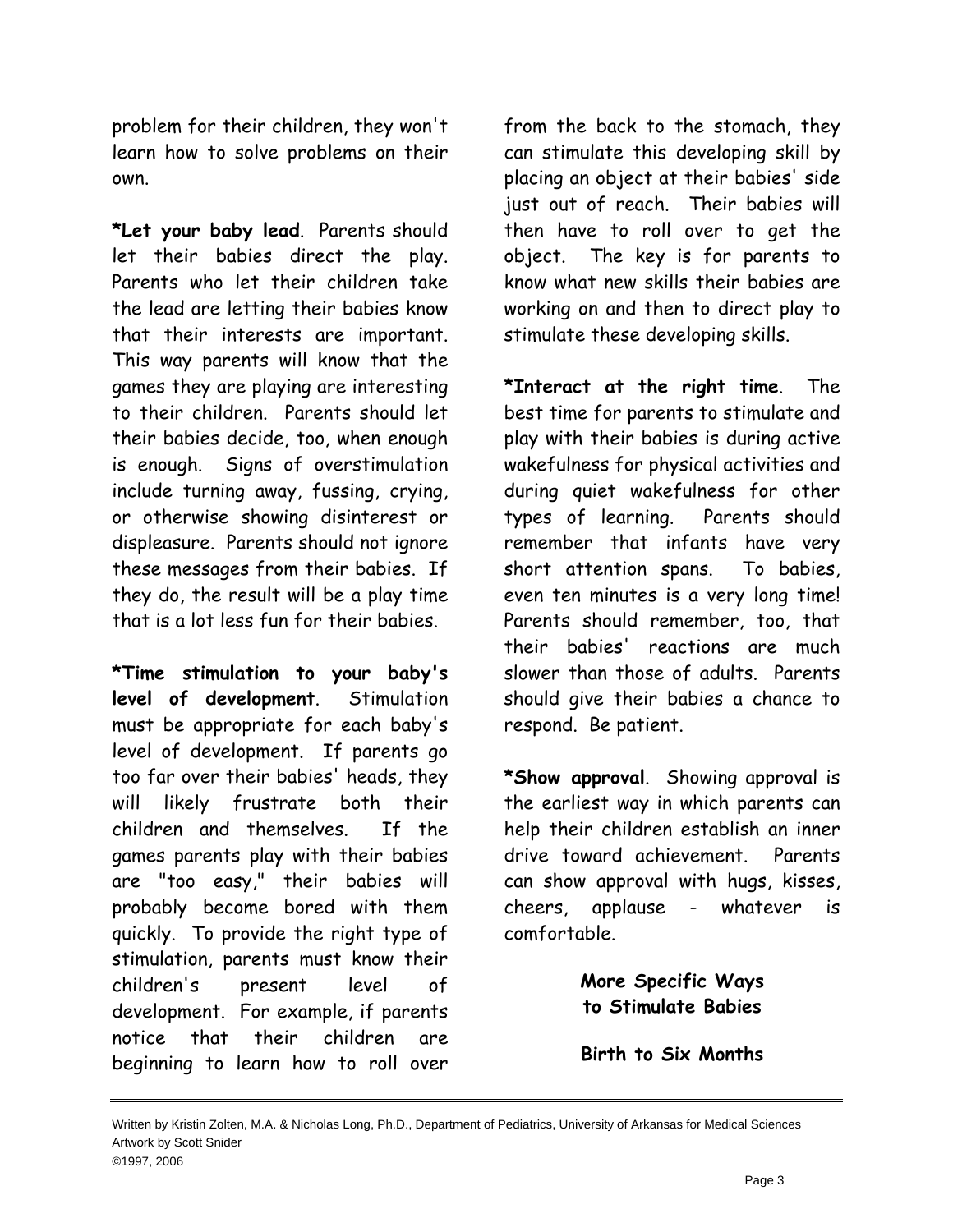problem for their children, they won't learn how to solve problems on their own.

**\*Let your baby lead**. Parents should let their babies direct the play. Parents who let their children take the lead are letting their babies know that their interests are important. This way parents will know that the games they are playing are interesting to their children. Parents should let their babies decide, too, when enough is enough. Signs of overstimulation include turning away, fussing, crying, or otherwise showing disinterest or displeasure. Parents should not ignore these messages from their babies. If they do, the result will be a play time that is a lot less fun for their babies.

**\*Time stimulation to your baby's level of development**. Stimulation must be appropriate for each baby's level of development. If parents go too far over their babies' heads, they will likely frustrate both their children and themselves. If the games parents play with their babies are "too easy," their babies will probably become bored with them quickly. To provide the right type of stimulation, parents must know their children's present level of development. For example, if parents notice that their children are beginning to learn how to roll over

from the back to the stomach, they can stimulate this developing skill by placing an object at their babies' side just out of reach. Their babies will then have to roll over to get the object. The key is for parents to know what new skills their babies are working on and then to direct play to stimulate these developing skills.

**\*Interact at the right time**. The best time for parents to stimulate and play with their babies is during active wakefulness for physical activities and during quiet wakefulness for other types of learning. Parents should remember that infants have very short attention spans. To babies, even ten minutes is a very long time! Parents should remember, too, that their babies' reactions are much slower than those of adults. Parents should give their babies a chance to respond. Be patient.

**\*Show approval**. Showing approval is the earliest way in which parents can help their children establish an inner drive toward achievement. Parents can show approval with hugs, kisses, cheers, applause - whatever is comfortable.

> **More Specific Ways to Stimulate Babies**

**Birth to Six Months**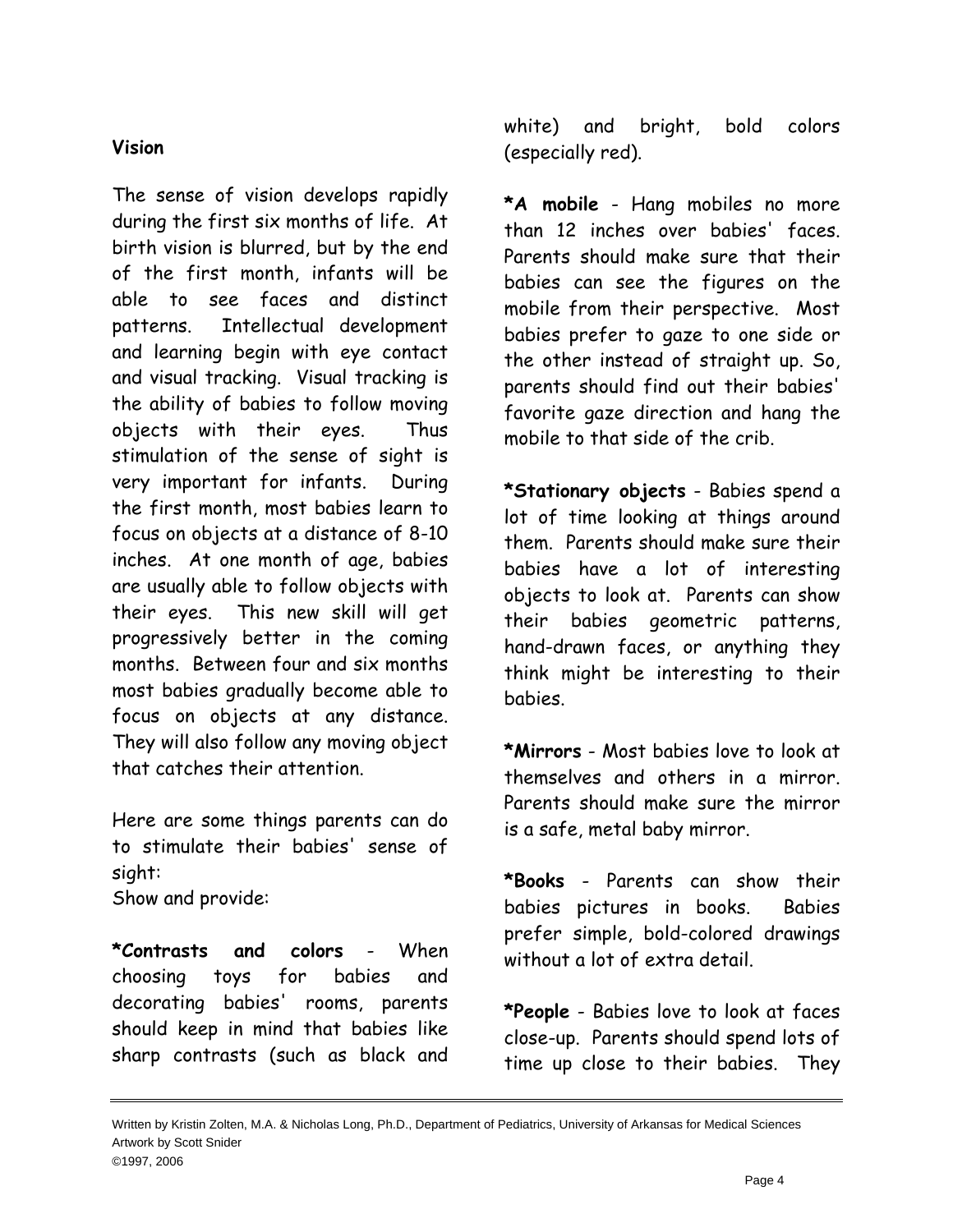# **Vision**

The sense of vision develops rapidly during the first six months of life. At birth vision is blurred, but by the end of the first month, infants will be able to see faces and distinct patterns. Intellectual development and learning begin with eye contact and visual tracking. Visual tracking is the ability of babies to follow moving objects with their eyes. Thus stimulation of the sense of sight is very important for infants. During the first month, most babies learn to focus on objects at a distance of 8-10 inches. At one month of age, babies are usually able to follow objects with their eyes. This new skill will get progressively better in the coming months. Between four and six months most babies gradually become able to focus on objects at any distance. They will also follow any moving object that catches their attention.

Here are some things parents can do to stimulate their babies' sense of sight:

Show and provide:

**\*Contrasts and colors** - When choosing toys for babies and decorating babies' rooms, parents should keep in mind that babies like sharp contrasts (such as black and white) and bright, bold colors (especially red).

**\*A mobile** - Hang mobiles no more than 12 inches over babies' faces. Parents should make sure that their babies can see the figures on the mobile from their perspective. Most babies prefer to gaze to one side or the other instead of straight up. So, parents should find out their babies' favorite gaze direction and hang the mobile to that side of the crib.

**\*Stationary objects** - Babies spend a lot of time looking at things around them. Parents should make sure their babies have a lot of interesting objects to look at. Parents can show their babies geometric patterns, hand-drawn faces, or anything they think might be interesting to their babies.

**\*Mirrors** - Most babies love to look at themselves and others in a mirror. Parents should make sure the mirror is a safe, metal baby mirror.

**\*Books** - Parents can show their babies pictures in books. Babies prefer simple, bold-colored drawings without a lot of extra detail.

**\*People** - Babies love to look at faces close-up. Parents should spend lots of time up close to their babies. They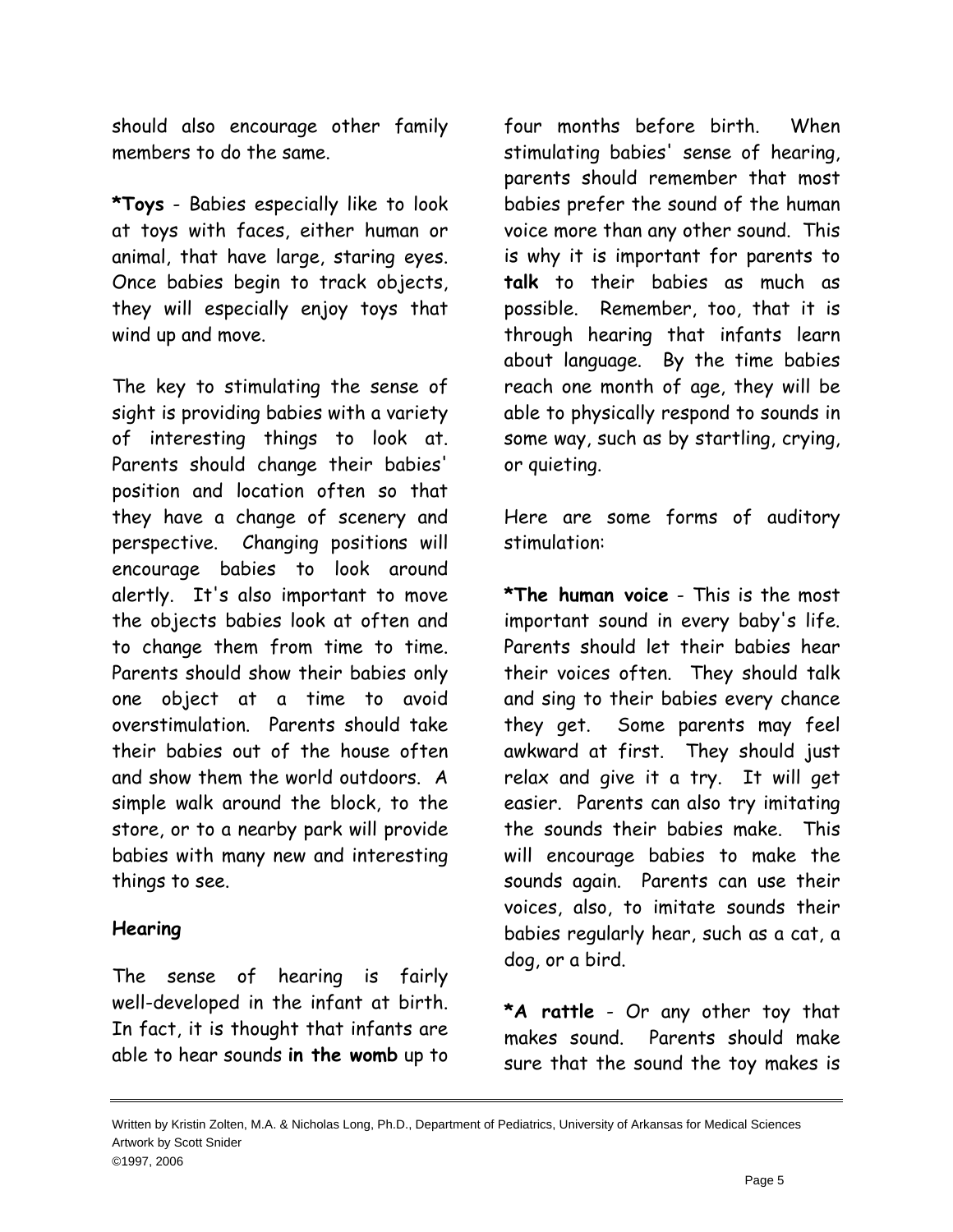should also encourage other family members to do the same.

**\*Toys** - Babies especially like to look at toys with faces, either human or animal, that have large, staring eyes. Once babies begin to track objects, they will especially enjoy toys that wind up and move.

The key to stimulating the sense of sight is providing babies with a variety of interesting things to look at. Parents should change their babies' position and location often so that they have a change of scenery and perspective. Changing positions will encourage babies to look around alertly. It's also important to move the objects babies look at often and to change them from time to time. Parents should show their babies only one object at a time to avoid overstimulation. Parents should take their babies out of the house often and show them the world outdoors. A simple walk around the block, to the store, or to a nearby park will provide babies with many new and interesting things to see.

## **Hearing**

The sense of hearing is fairly well-developed in the infant at birth. In fact, it is thought that infants are able to hear sounds **in the womb** up to

four months before birth. When stimulating babies' sense of hearing, parents should remember that most babies prefer the sound of the human voice more than any other sound. This is why it is important for parents to **talk** to their babies as much as possible. Remember, too, that it is through hearing that infants learn about language. By the time babies reach one month of age, they will be able to physically respond to sounds in some way, such as by startling, crying, or quieting.

Here are some forms of auditory stimulation:

**\*The human voice** - This is the most important sound in every baby's life. Parents should let their babies hear their voices often. They should talk and sing to their babies every chance they get. Some parents may feel awkward at first. They should just relax and give it a try. It will get easier. Parents can also try imitating the sounds their babies make. This will encourage babies to make the sounds again. Parents can use their voices, also, to imitate sounds their babies regularly hear, such as a cat, a dog, or a bird.

**\*A rattle** - Or any other toy that makes sound. Parents should make sure that the sound the toy makes is

Written by Kristin Zolten, M.A. & Nicholas Long, Ph.D., Department of Pediatrics, University of Arkansas for Medical Sciences Artwork by Scott Snider ©1997, 2006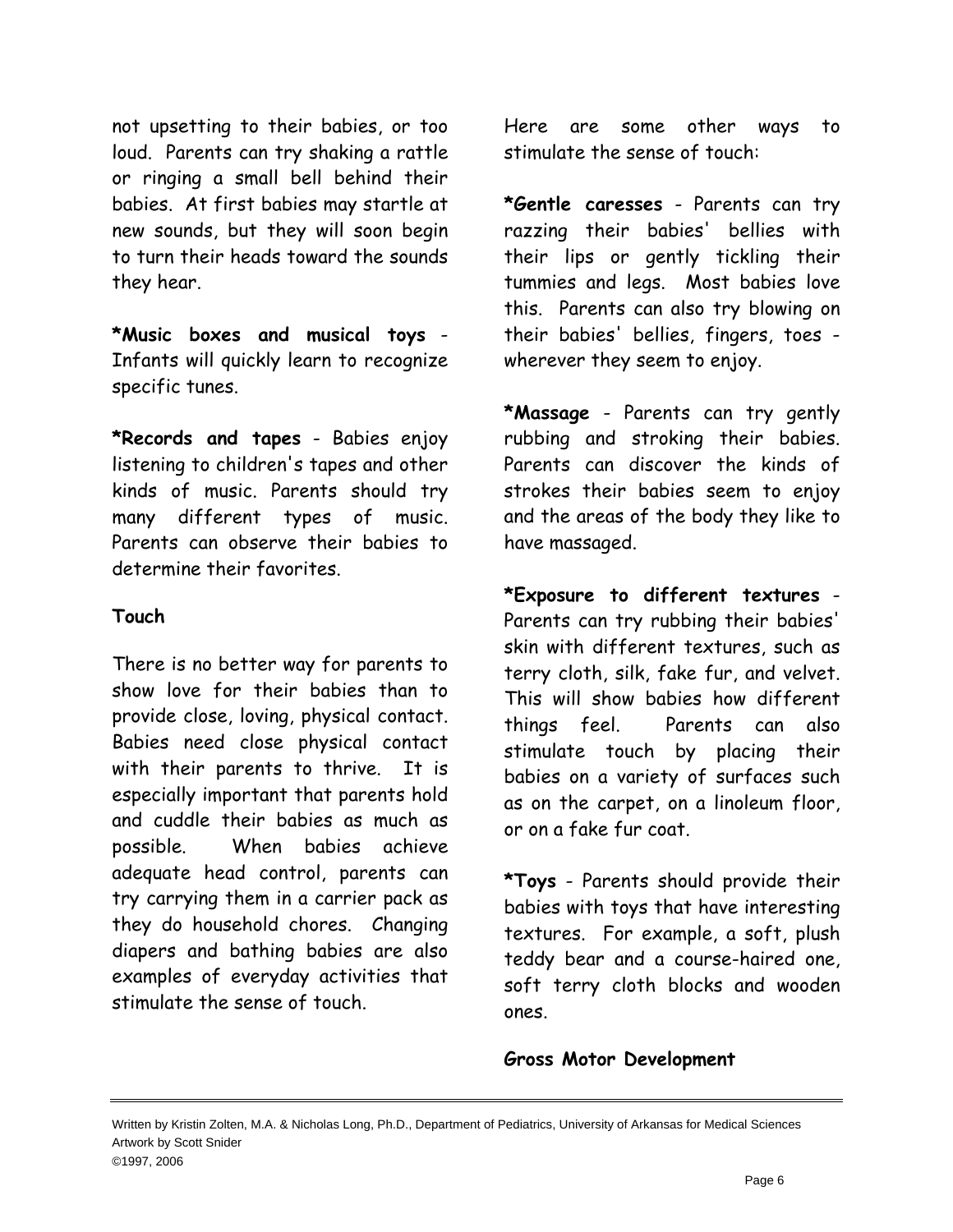not upsetting to their babies, or too loud. Parents can try shaking a rattle or ringing a small bell behind their babies. At first babies may startle at new sounds, but they will soon begin to turn their heads toward the sounds they hear.

**\*Music boxes and musical toys** - Infants will quickly learn to recognize specific tunes.

**\*Records and tapes** - Babies enjoy listening to children's tapes and other kinds of music. Parents should try many different types of music. Parents can observe their babies to determine their favorites.

## **Touch**

There is no better way for parents to show love for their babies than to provide close, loving, physical contact. Babies need close physical contact with their parents to thrive. It is especially important that parents hold and cuddle their babies as much as possible. When babies achieve adequate head control, parents can try carrying them in a carrier pack as they do household chores. Changing diapers and bathing babies are also examples of everyday activities that stimulate the sense of touch.

Here are some other ways to stimulate the sense of touch:

**\*Gentle caresses** - Parents can try razzing their babies' bellies with their lips or gently tickling their tummies and legs. Most babies love this. Parents can also try blowing on their babies' bellies, fingers, toes wherever they seem to enjoy.

**\*Massage** - Parents can try gently rubbing and stroking their babies. Parents can discover the kinds of strokes their babies seem to enjoy and the areas of the body they like to have massaged.

**\*Exposure to different textures** - Parents can try rubbing their babies' skin with different textures, such as terry cloth, silk, fake fur, and velvet. This will show babies how different things feel. Parents can also stimulate touch by placing their babies on a variety of surfaces such as on the carpet, on a linoleum floor, or on a fake fur coat.

**\*Toys** - Parents should provide their babies with toys that have interesting textures. For example, a soft, plush teddy bear and a course-haired one, soft terry cloth blocks and wooden ones.

## **Gross Motor Development**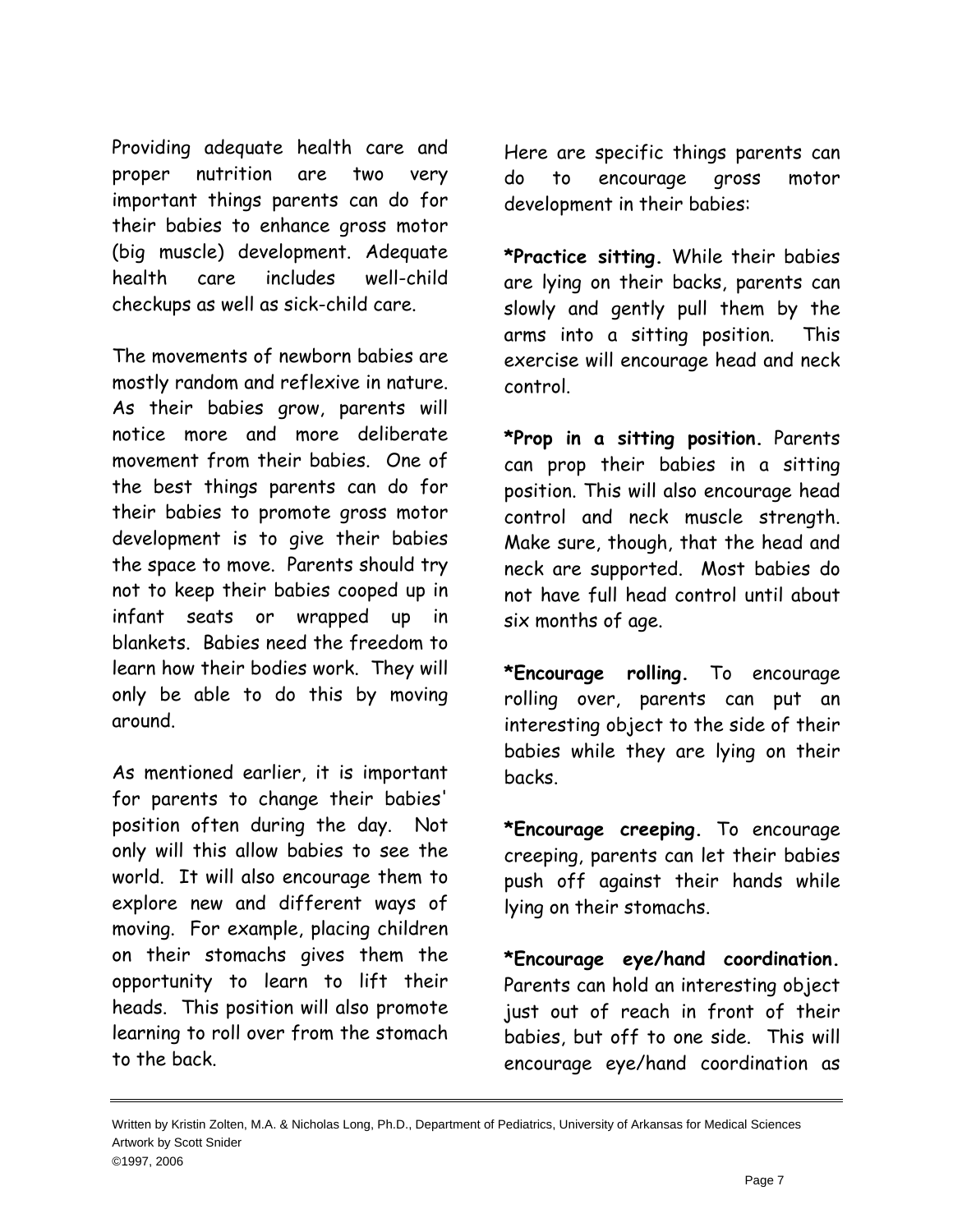Providing adequate health care and proper nutrition are two very important things parents can do for their babies to enhance gross motor (big muscle) development. Adequate health care includes well-child checkups as well as sick-child care.

The movements of newborn babies are mostly random and reflexive in nature. As their babies grow, parents will notice more and more deliberate movement from their babies. One of the best things parents can do for their babies to promote gross motor development is to give their babies the space to move. Parents should try not to keep their babies cooped up in infant seats or wrapped up in blankets. Babies need the freedom to learn how their bodies work. They will only be able to do this by moving around.

As mentioned earlier, it is important for parents to change their babies' position often during the day. Not only will this allow babies to see the world. It will also encourage them to explore new and different ways of moving. For example, placing children on their stomachs gives them the opportunity to learn to lift their heads. This position will also promote learning to roll over from the stomach to the back.

Here are specific things parents can do to encourage gross motor development in their babies:

**\*Practice sitting.** While their babies are lying on their backs, parents can slowly and gently pull them by the arms into a sitting position. This exercise will encourage head and neck control.

**\*Prop in a sitting position.** Parents can prop their babies in a sitting position. This will also encourage head control and neck muscle strength. Make sure, though, that the head and neck are supported. Most babies do not have full head control until about six months of age.

**\*Encourage rolling.** To encourage rolling over, parents can put an interesting object to the side of their babies while they are lying on their backs.

**\*Encourage creeping.** To encourage creeping, parents can let their babies push off against their hands while lying on their stomachs.

**\*Encourage eye/hand coordination.** Parents can hold an interesting object just out of reach in front of their babies, but off to one side. This will encourage eye/hand coordination as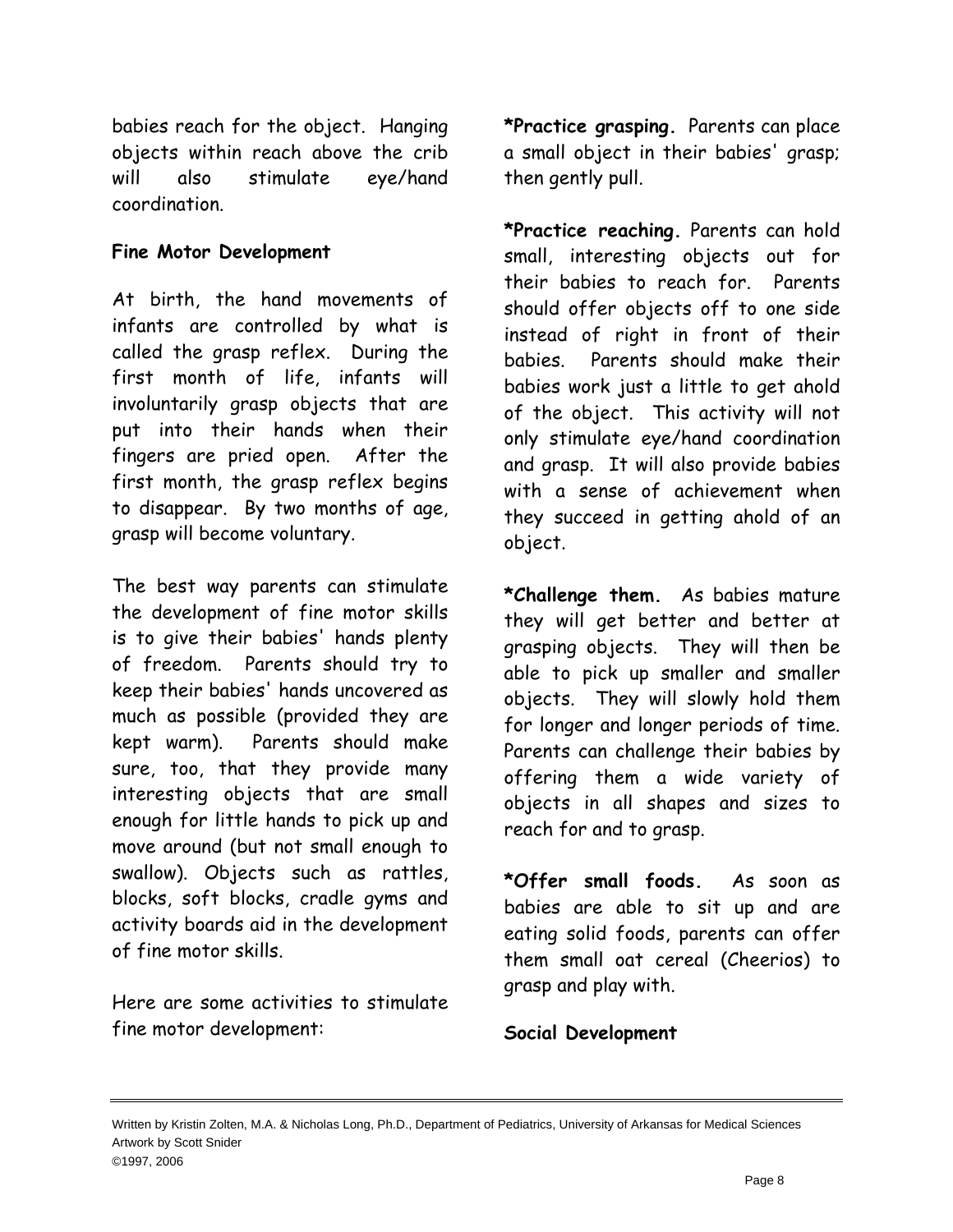babies reach for the object. Hanging objects within reach above the crib will also stimulate eye/hand coordination.

# **Fine Motor Development**

At birth, the hand movements of infants are controlled by what is called the grasp reflex. During the first month of life, infants will involuntarily grasp objects that are put into their hands when their fingers are pried open. After the first month, the grasp reflex begins to disappear. By two months of age, grasp will become voluntary.

The best way parents can stimulate the development of fine motor skills is to give their babies' hands plenty of freedom. Parents should try to keep their babies' hands uncovered as much as possible (provided they are kept warm). Parents should make sure, too, that they provide many interesting objects that are small enough for little hands to pick up and move around (but not small enough to swallow). Objects such as rattles, blocks, soft blocks, cradle gyms and activity boards aid in the development of fine motor skills.

Here are some activities to stimulate fine motor development:

**\*Practice grasping.** Parents can place a small object in their babies' grasp; then gently pull.

**\*Practice reaching.** Parents can hold small, interesting objects out for their babies to reach for. Parents should offer objects off to one side instead of right in front of their babies. Parents should make their babies work just a little to get ahold of the object. This activity will not only stimulate eye/hand coordination and grasp. It will also provide babies with a sense of achievement when they succeed in getting ahold of an object.

**\*Challenge them.** As babies mature they will get better and better at grasping objects. They will then be able to pick up smaller and smaller objects. They will slowly hold them for longer and longer periods of time. Parents can challenge their babies by offering them a wide variety of objects in all shapes and sizes to reach for and to grasp.

**\*Offer small foods.** As soon as babies are able to sit up and are eating solid foods, parents can offer them small oat cereal (Cheerios) to grasp and play with.

**Social Development**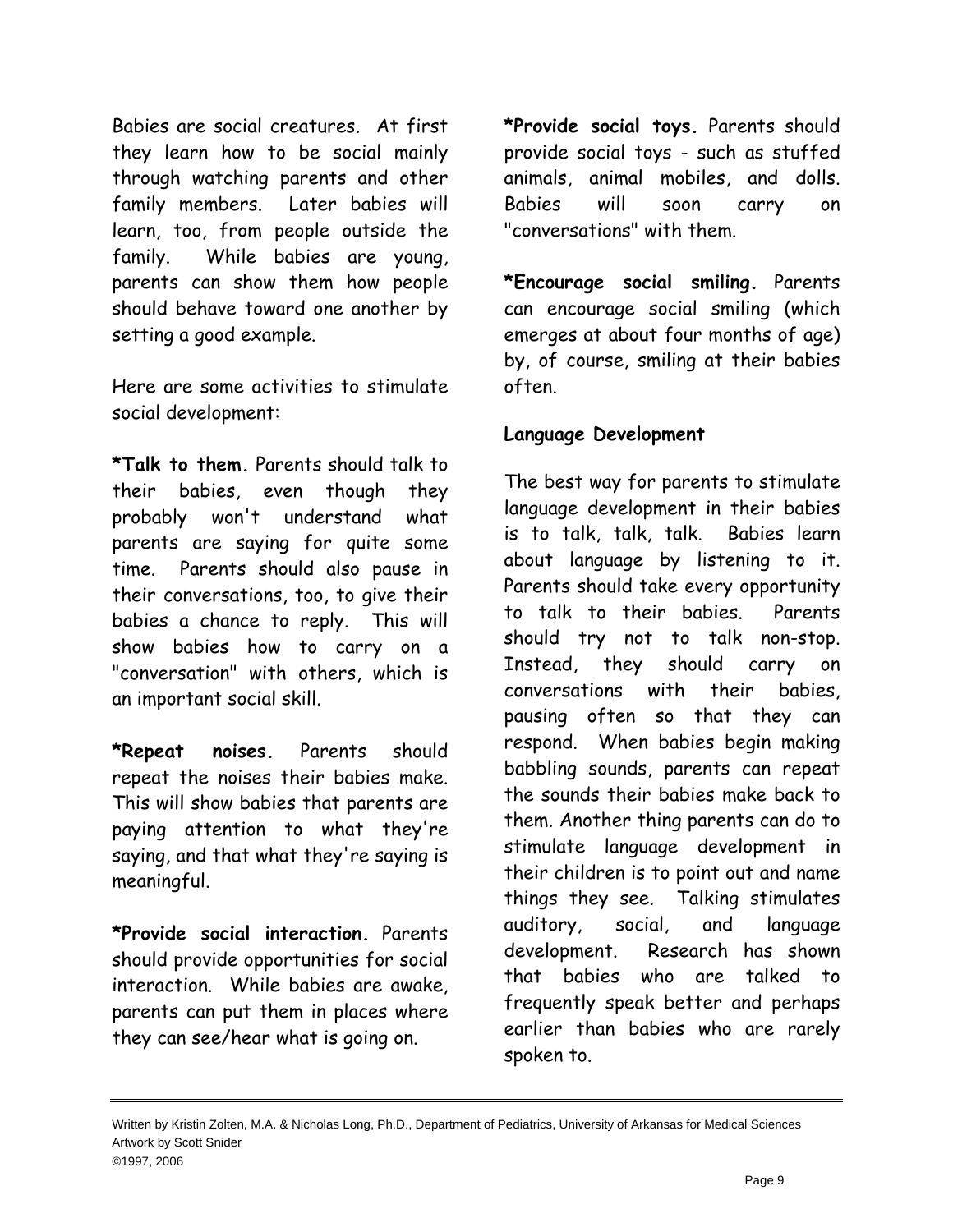Babies are social creatures. At first they learn how to be social mainly through watching parents and other family members. Later babies will learn, too, from people outside the family. While babies are young, parents can show them how people should behave toward one another by setting a good example.

Here are some activities to stimulate social development:

**\*Talk to them.** Parents should talk to their babies, even though they probably won't understand what parents are saying for quite some time. Parents should also pause in their conversations, too, to give their babies a chance to reply. This will show babies how to carry on a "conversation" with others, which is an important social skill.

**\*Repeat noises.** Parents should repeat the noises their babies make. This will show babies that parents are paying attention to what they're saying, and that what they're saying is meaningful.

**\*Provide social interaction.** Parents should provide opportunities for social interaction. While babies are awake, parents can put them in places where they can see/hear what is going on.

**\*Provide social toys.** Parents should provide social toys - such as stuffed animals, animal mobiles, and dolls. Babies will soon carry on "conversations" with them.

**\*Encourage social smiling.** Parents can encourage social smiling (which emerges at about four months of age) by, of course, smiling at their babies often.

## **Language Development**

The best way for parents to stimulate language development in their babies is to talk, talk, talk. Babies learn about language by listening to it. Parents should take every opportunity to talk to their babies. Parents should try not to talk non-stop. Instead, they should carry on conversations with their babies, pausing often so that they can respond. When babies begin making babbling sounds, parents can repeat the sounds their babies make back to them. Another thing parents can do to stimulate language development in their children is to point out and name things they see. Talking stimulates auditory, social, and language development. Research has shown that babies who are talked to frequently speak better and perhaps earlier than babies who are rarely spoken to.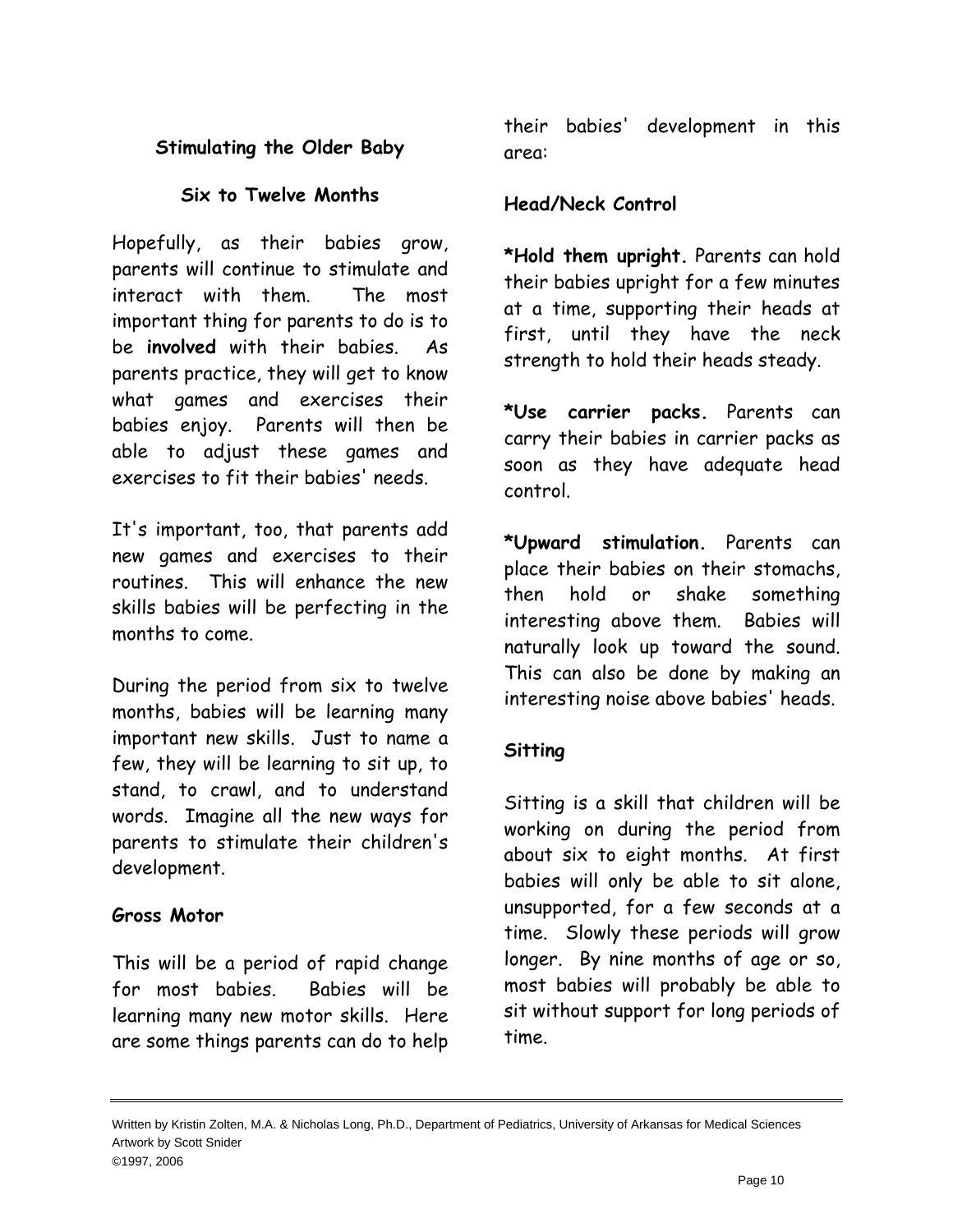# **Stimulating the Older Baby**

# **Six to Twelve Months**

Hopefully, as their babies grow, parents will continue to stimulate and interact with them. The most important thing for parents to do is to be **involved** with their babies. As parents practice, they will get to know what games and exercises their babies enjoy. Parents will then be able to adjust these games and exercises to fit their babies' needs.

It's important, too, that parents add new games and exercises to their routines. This will enhance the new skills babies will be perfecting in the months to come.

During the period from six to twelve months, babies will be learning many important new skills. Just to name a few, they will be learning to sit up, to stand, to crawl, and to understand words. Imagine all the new ways for parents to stimulate their children's development.

## **Gross Motor**

This will be a period of rapid change for most babies. Babies will be learning many new motor skills. Here are some things parents can do to help their babies' development in this area:

## **Head/Neck Control**

**\*Hold them upright.** Parents can hold their babies upright for a few minutes at a time, supporting their heads at first, until they have the neck strength to hold their heads steady.

**\*Use carrier packs.** Parents can carry their babies in carrier packs as soon as they have adequate head control.

**\*Upward stimulation.** Parents can place their babies on their stomachs, then hold or shake something interesting above them. Babies will naturally look up toward the sound. This can also be done by making an interesting noise above babies' heads.

# **Sitting**

Sitting is a skill that children will be working on during the period from about six to eight months. At first babies will only be able to sit alone, unsupported, for a few seconds at a time. Slowly these periods will grow longer. By nine months of age or so, most babies will probably be able to sit without support for long periods of time.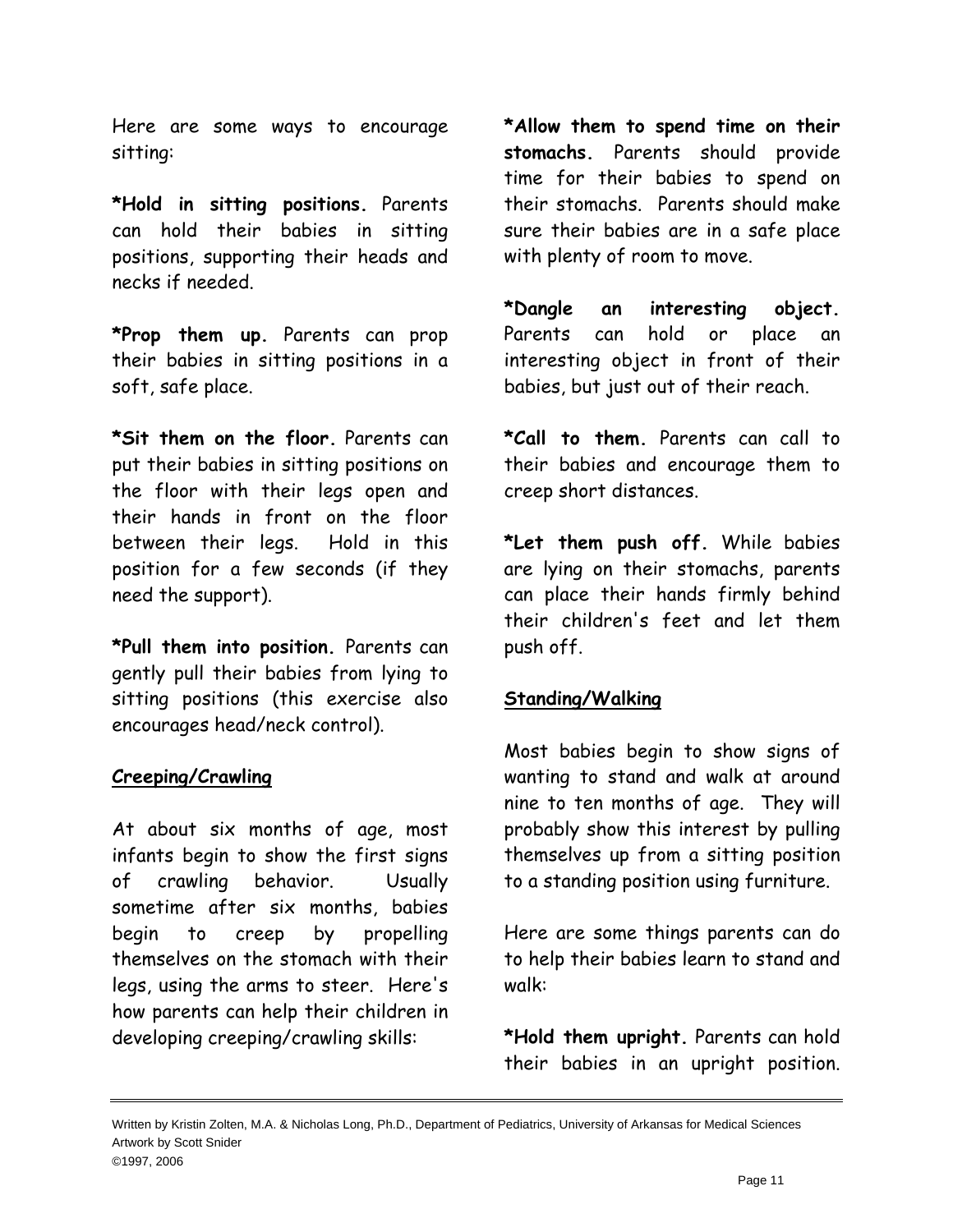Here are some ways to encourage sitting:

**\*Hold in sitting positions.** Parents can hold their babies in sitting positions, supporting their heads and necks if needed.

**\*Prop them up.** Parents can prop their babies in sitting positions in a soft, safe place.

**\*Sit them on the floor.** Parents can put their babies in sitting positions on the floor with their legs open and their hands in front on the floor between their legs. Hold in this position for a few seconds (if they need the support).

**\*Pull them into position.** Parents can gently pull their babies from lying to sitting positions (this exercise also encourages head/neck control).

## **Creeping/Crawling**

At about six months of age, most infants begin to show the first signs of crawling behavior. Usually sometime after six months, babies begin to creep by propelling themselves on the stomach with their legs, using the arms to steer. Here's how parents can help their children in developing creeping/crawling skills:

**\*Allow them to spend time on their stomachs.** Parents should provide time for their babies to spend on their stomachs. Parents should make sure their babies are in a safe place with plenty of room to move.

**\*Dangle an interesting object.** Parents can hold or place an interesting object in front of their babies, but just out of their reach.

**\*Call to them.** Parents can call to their babies and encourage them to creep short distances.

**\*Let them push off.** While babies are lying on their stomachs, parents can place their hands firmly behind their children's feet and let them push off.

#### **Standing/Walking**

Most babies begin to show signs of wanting to stand and walk at around nine to ten months of age. They will probably show this interest by pulling themselves up from a sitting position to a standing position using furniture.

Here are some things parents can do to help their babies learn to stand and walk:

**\*Hold them upright.** Parents can hold their babies in an upright position.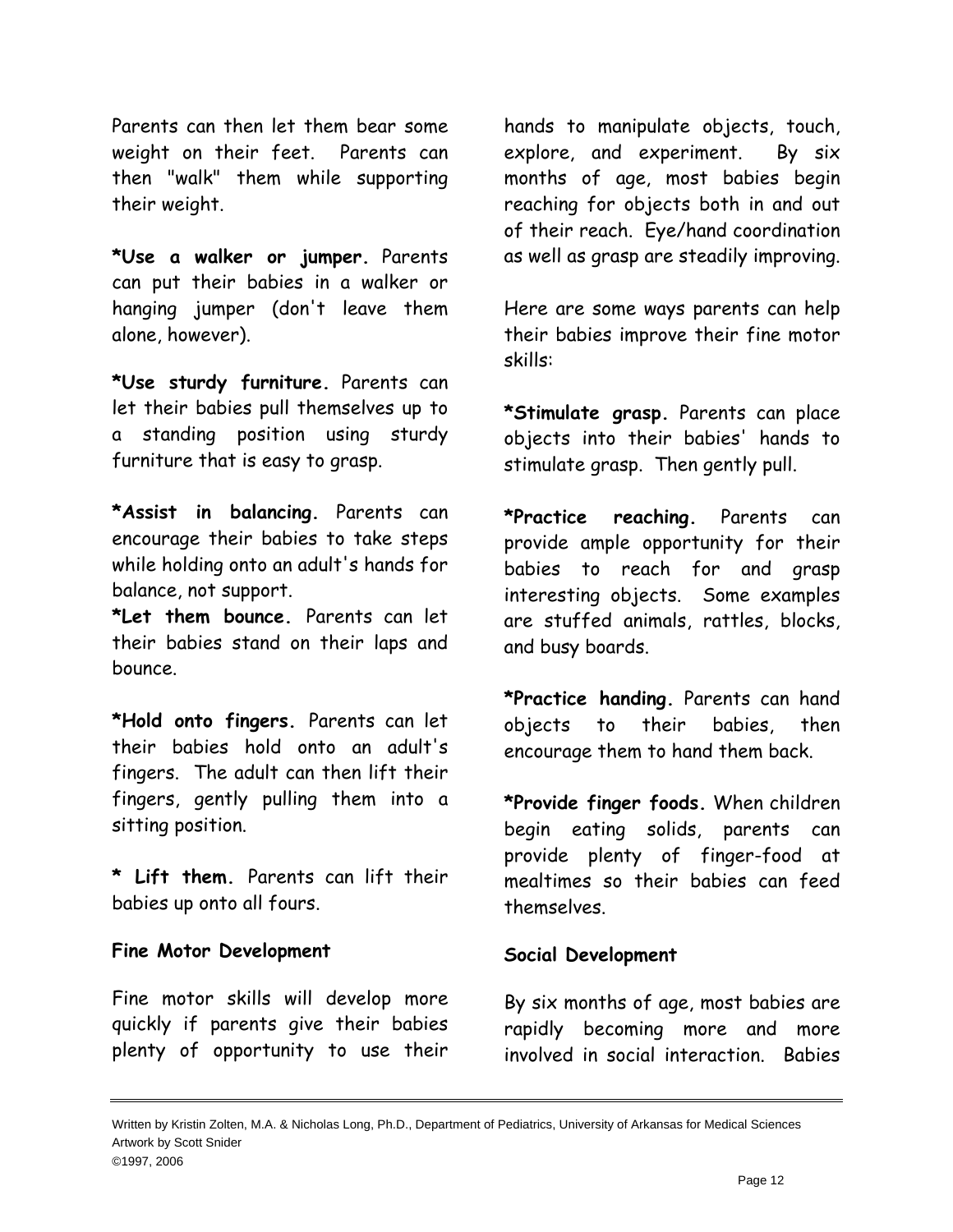Parents can then let them bear some weight on their feet. Parents can then "walk" them while supporting their weight.

**\*Use a walker or jumper.** Parents can put their babies in a walker or hanging jumper (don't leave them alone, however).

**\*Use sturdy furniture.** Parents can let their babies pull themselves up to a standing position using sturdy furniture that is easy to grasp.

**\*Assist in balancing.** Parents can encourage their babies to take steps while holding onto an adult's hands for balance, not support.

**\*Let them bounce.** Parents can let their babies stand on their laps and bounce.

**\*Hold onto fingers.** Parents can let their babies hold onto an adult's fingers. The adult can then lift their fingers, gently pulling them into a sitting position.

**\* Lift them.** Parents can lift their babies up onto all fours.

## **Fine Motor Development**

Fine motor skills will develop more quickly if parents give their babies plenty of opportunity to use their

hands to manipulate objects, touch, explore, and experiment. By six months of age, most babies begin reaching for objects both in and out of their reach. Eye/hand coordination as well as grasp are steadily improving.

Here are some ways parents can help their babies improve their fine motor skills:

**\*Stimulate grasp.** Parents can place objects into their babies' hands to stimulate grasp. Then gently pull.

**\*Practice reaching.** Parents can provide ample opportunity for their babies to reach for and grasp interesting objects. Some examples are stuffed animals, rattles, blocks, and busy boards.

**\*Practice handing.** Parents can hand objects to their babies, then encourage them to hand them back.

**\*Provide finger foods.** When children begin eating solids, parents can provide plenty of finger-food at mealtimes so their babies can feed themselves.

#### **Social Development**

By six months of age, most babies are rapidly becoming more and more involved in social interaction. Babies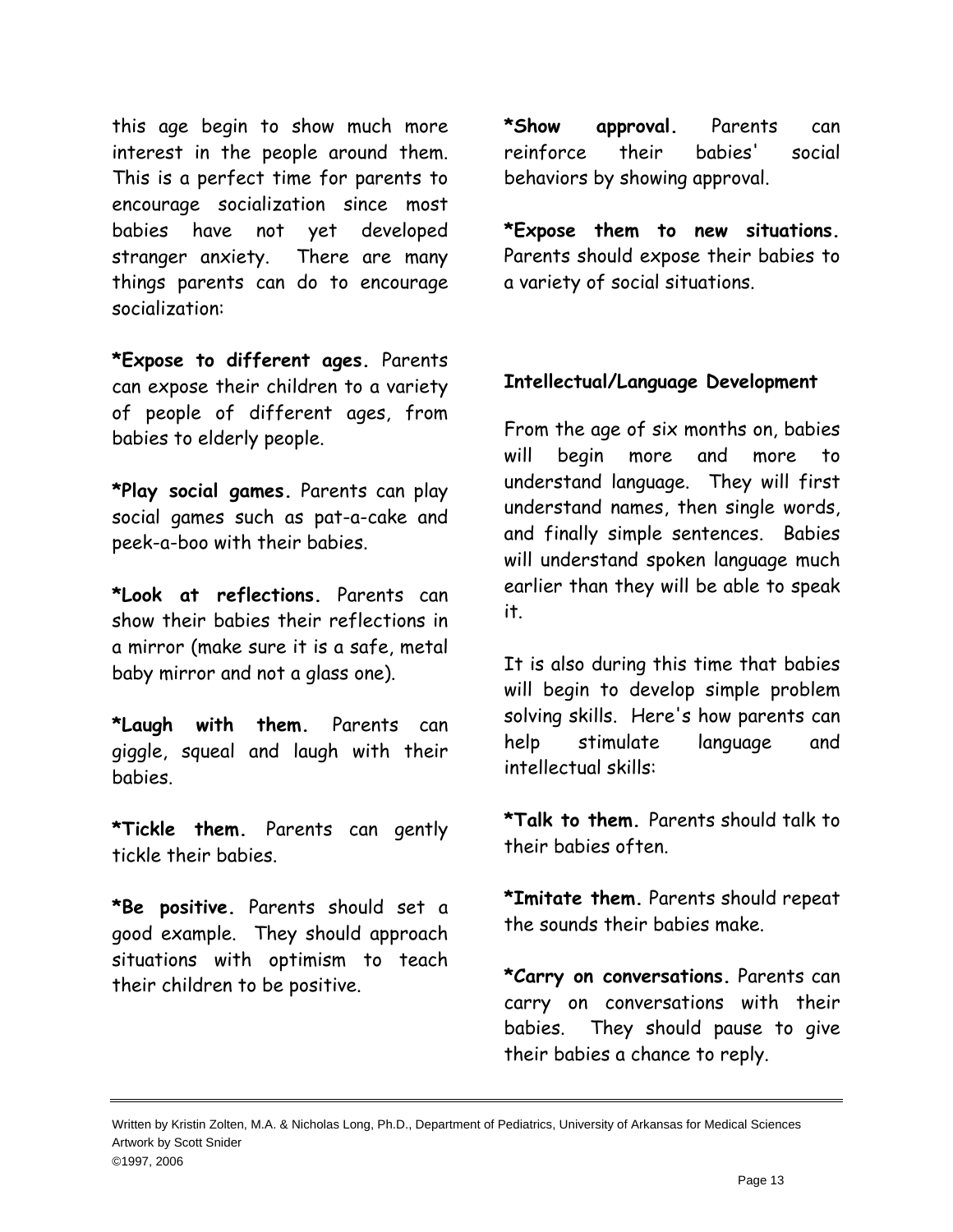this age begin to show much more interest in the people around them. This is a perfect time for parents to encourage socialization since most babies have not yet developed stranger anxiety. There are many things parents can do to encourage socialization:

**\*Expose to different ages.** Parents can expose their children to a variety of people of different ages, from babies to elderly people.

**\*Play social games.** Parents can play social games such as pat-a-cake and peek-a-boo with their babies.

**\*Look at reflections.** Parents can show their babies their reflections in a mirror (make sure it is a safe, metal baby mirror and not a glass one).

**\*Laugh with them.** Parents can giggle, squeal and laugh with their babies.

**\*Tickle them.** Parents can gently tickle their babies.

**\*Be positive.** Parents should set a good example. They should approach situations with optimism to teach their children to be positive.

**\*Show approval.** Parents can reinforce their babies' social behaviors by showing approval.

**\*Expose them to new situations.**  Parents should expose their babies to a variety of social situations.

# **Intellectual/Language Development**

From the age of six months on, babies will begin more and more to understand language. They will first understand names, then single words, and finally simple sentences. Babies will understand spoken language much earlier than they will be able to speak it.

It is also during this time that babies will begin to develop simple problem solving skills. Here's how parents can help stimulate language and intellectual skills:

**\*Talk to them.** Parents should talk to their babies often.

**\*Imitate them.** Parents should repeat the sounds their babies make.

**\*Carry on conversations.** Parents can carry on conversations with their babies. They should pause to give their babies a chance to reply.